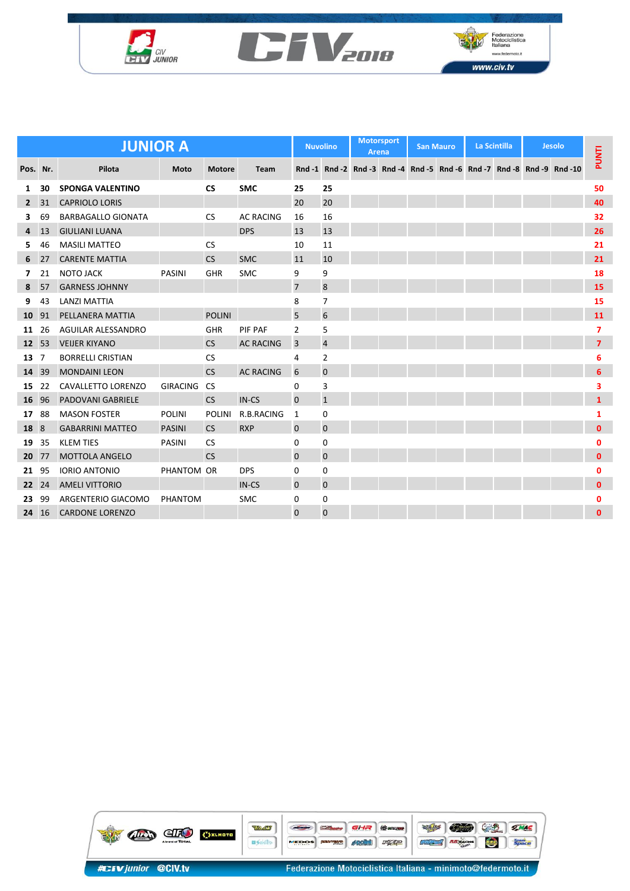





|                | <b>JUNIOR A</b> |                           |                 |               |                  | <b>Nuvolino</b> | <b>Motorsport</b><br>Arena | <b>San Mauro</b> | La Scintilla |  | Jesolo | <b>PUNTI</b>                                                           |                |
|----------------|-----------------|---------------------------|-----------------|---------------|------------------|-----------------|----------------------------|------------------|--------------|--|--------|------------------------------------------------------------------------|----------------|
| Pos.           | Nr.             | Pilota                    | Moto            | <b>Motore</b> | <b>Team</b>      |                 |                            |                  |              |  |        | Rnd -1 Rnd -2 Rnd -3 Rnd -4 Rnd -5 Rnd -6 Rnd -7 Rnd -8 Rnd -9 Rnd -10 |                |
| 1              | 30              | <b>SPONGA VALENTINO</b>   |                 | <b>CS</b>     | <b>SMC</b>       | 25              | 25                         |                  |              |  |        |                                                                        | 50             |
| $\mathbf{2}$   | 31              | <b>CAPRIOLO LORIS</b>     |                 |               |                  | 20              | 20                         |                  |              |  |        |                                                                        | 40             |
| 3              | 69              | <b>BARBAGALLO GIONATA</b> |                 | <b>CS</b>     | <b>AC RACING</b> | 16              | 16                         |                  |              |  |        |                                                                        | 32             |
| 4              | 13              | <b>GIULIANI LUANA</b>     |                 |               | <b>DPS</b>       | 13              | 13                         |                  |              |  |        |                                                                        | 26             |
| 5.             | 46              | <b>MASILI MATTEO</b>      |                 | <b>CS</b>     |                  | 10              | 11                         |                  |              |  |        |                                                                        | 21             |
| 6              | 27              | <b>CARENTE MATTIA</b>     |                 | <b>CS</b>     | <b>SMC</b>       | 11              | 10                         |                  |              |  |        |                                                                        | 21             |
| $\overline{ }$ | 21              | <b>NOTO JACK</b>          | <b>PASINI</b>   | GHR           | <b>SMC</b>       | 9               | 9                          |                  |              |  |        |                                                                        | 18             |
| 8              | 57              | <b>GARNESS JOHNNY</b>     |                 |               |                  | $\overline{7}$  | 8                          |                  |              |  |        |                                                                        | 15             |
| 9              | 43              | <b>LANZI MATTIA</b>       |                 |               |                  | 8               | 7                          |                  |              |  |        |                                                                        | 15             |
| 10             | 91              | PELLANERA MATTIA          |                 | <b>POLINI</b> |                  | 5               | 6                          |                  |              |  |        |                                                                        | 11             |
| 11             | 26              | AGUILAR ALESSANDRO        |                 | GHR           | PIF PAF          | $\overline{2}$  | 5                          |                  |              |  |        |                                                                        | $\overline{ }$ |
| 12 53          |                 | <b>VEIJER KIYANO</b>      |                 | <b>CS</b>     | <b>AC RACING</b> | 3               | $\overline{4}$             |                  |              |  |        |                                                                        | $\overline{7}$ |
| $13 \quad 7$   |                 | <b>BORRELLI CRISTIAN</b>  |                 | <b>CS</b>     |                  | 4               | 2                          |                  |              |  |        |                                                                        | 6              |
| 14             | 39              | <b>MONDAINI LEON</b>      |                 | <b>CS</b>     | <b>AC RACING</b> | 6               | $\mathbf 0$                |                  |              |  |        |                                                                        | 6              |
| 15             | 22              | CAVALLETTO LORENZO        | <b>GIRACING</b> | <b>CS</b>     |                  | 0               | 3                          |                  |              |  |        |                                                                        | 3              |
| 16             | 96              | <b>PADOVANI GABRIELE</b>  |                 | <b>CS</b>     | IN-CS            | $\mathbf{0}$    | $\mathbf{1}$               |                  |              |  |        |                                                                        | $\mathbf{1}$   |
| 17 88          |                 | <b>MASON FOSTER</b>       | <b>POLINI</b>   | <b>POLINI</b> | R.B.RACING       | 1               | 0                          |                  |              |  |        |                                                                        | 1              |
| 18             | 8               | <b>GABARRINI MATTEO</b>   | <b>PASINI</b>   | <b>CS</b>     | <b>RXP</b>       | $\mathbf{0}$    | $\mathbf{0}$               |                  |              |  |        |                                                                        | $\mathbf{0}$   |
| 19             | 35              | <b>KLEM TIES</b>          | <b>PASINI</b>   | <b>CS</b>     |                  | 0               | 0                          |                  |              |  |        |                                                                        | 0              |
| 20             | 77              | <b>MOTTOLA ANGELO</b>     |                 | <b>CS</b>     |                  | $\mathbf 0$     | $\mathbf{0}$               |                  |              |  |        |                                                                        | $\mathbf{0}$   |
| 21             | 95              | <b>IORIO ANTONIO</b>      | PHANTOM OR      |               | <b>DPS</b>       | 0               | 0                          |                  |              |  |        |                                                                        | 0              |
| 22             | 24              | <b>AMELI VITTORIO</b>     |                 |               | IN-CS            | $\mathbf 0$     | $\mathbf 0$                |                  |              |  |        |                                                                        | $\mathbf{0}$   |
| 23             | 99              | ARGENTERIO GIACOMO        | PHANTOM         |               | <b>SMC</b>       | 0               | 0                          |                  |              |  |        |                                                                        | 0              |
| 24             | 16              | <b>CARDONE LORENZO</b>    |                 |               |                  | $\mathbf{0}$    | $\mathbf{0}$               |                  |              |  |        |                                                                        | $\mathbf 0$    |

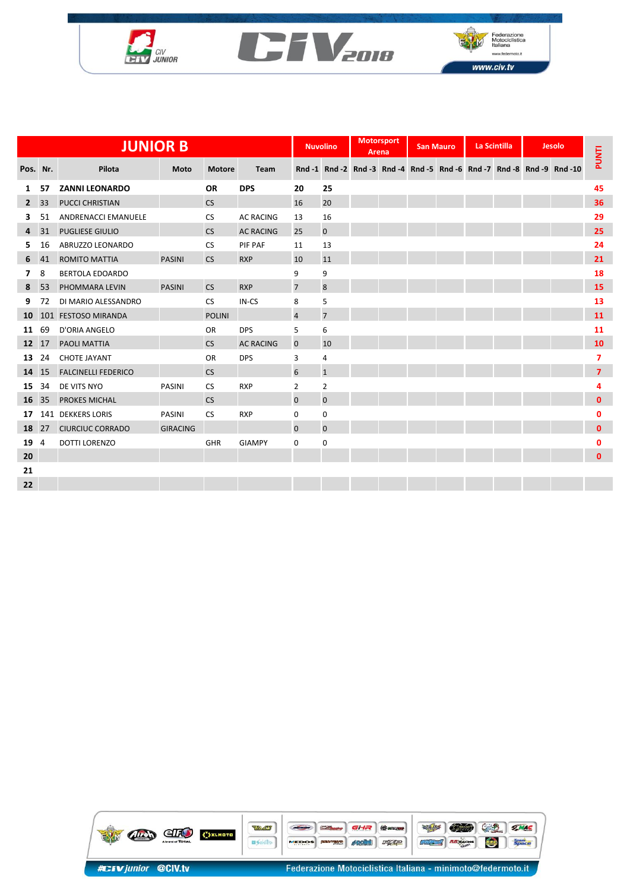





|                | <b>JUNIOR B</b> |                            |                 |               |                  |                | <b>Nuvolino</b> | Arena | <b>Motorsport</b> | <b>San Mauro</b> | La Scintilla |  | <b>Jesolo</b>                                                          | <b>PUNTI</b>   |
|----------------|-----------------|----------------------------|-----------------|---------------|------------------|----------------|-----------------|-------|-------------------|------------------|--------------|--|------------------------------------------------------------------------|----------------|
| Pos. Nr.       |                 | Pilota                     | Moto            | <b>Motore</b> | <b>Team</b>      |                |                 |       |                   |                  |              |  | Rnd -1 Rnd -2 Rnd -3 Rnd -4 Rnd -5 Rnd -6 Rnd -7 Rnd -8 Rnd -9 Rnd -10 |                |
| 1              | 57              | <b>ZANNI LEONARDO</b>      |                 | <b>OR</b>     | <b>DPS</b>       | 20             | 25              |       |                   |                  |              |  |                                                                        | 45             |
| $\overline{2}$ | 33              | <b>PUCCI CHRISTIAN</b>     |                 | <b>CS</b>     |                  | 16             | 20              |       |                   |                  |              |  |                                                                        | 36             |
| 3.             | 51              | ANDRENACCI EMANUELE        |                 | <b>CS</b>     | <b>AC RACING</b> | 13             | 16              |       |                   |                  |              |  |                                                                        | 29             |
| 4              | 31              | <b>PUGLIESE GIULIO</b>     |                 | <b>CS</b>     | <b>AC RACING</b> | 25             | $\mathbf 0$     |       |                   |                  |              |  |                                                                        | 25             |
| 5.             | 16              | ABRUZZO LEONARDO           |                 | <b>CS</b>     | PIF PAF          | 11             | 13              |       |                   |                  |              |  |                                                                        | 24             |
| 6              | 41              | <b>ROMITO MATTIA</b>       | <b>PASINI</b>   | <b>CS</b>     | <b>RXP</b>       | 10             | 11              |       |                   |                  |              |  |                                                                        | 21             |
| $\overline{7}$ | 8               | <b>BERTOLA EDOARDO</b>     |                 |               |                  | 9              | 9               |       |                   |                  |              |  |                                                                        | 18             |
| 8              | 53              | PHOMMARA LEVIN             | <b>PASINI</b>   | <b>CS</b>     | <b>RXP</b>       | $\overline{7}$ | 8               |       |                   |                  |              |  |                                                                        | 15             |
| 9              | 72              | DI MARIO ALESSANDRO        |                 | <b>CS</b>     | IN-CS            | 8              | 5               |       |                   |                  |              |  |                                                                        | 13             |
| 10             |                 | 101 FESTOSO MIRANDA        |                 | <b>POLINI</b> |                  | $\overline{4}$ | $\overline{7}$  |       |                   |                  |              |  |                                                                        | 11             |
| 11             | 69              | D'ORIA ANGELO              |                 | <b>OR</b>     | <b>DPS</b>       | 5              | 6               |       |                   |                  |              |  |                                                                        | 11             |
| 12             | 17              | <b>PAOLI MATTIA</b>        |                 | <b>CS</b>     | <b>AC RACING</b> | $\mathbf{0}$   | 10              |       |                   |                  |              |  |                                                                        | 10             |
| 13             | 24              | <b>CHOTE JAYANT</b>        |                 | <b>OR</b>     | <b>DPS</b>       | 3              | 4               |       |                   |                  |              |  |                                                                        | $\overline{ }$ |
| 14             | 15              | <b>FALCINELLI FEDERICO</b> |                 | <b>CS</b>     |                  | 6              | $\mathbf{1}$    |       |                   |                  |              |  |                                                                        | $\overline{7}$ |
| 15             | 34              | DE VITS NYO                | <b>PASINI</b>   | <b>CS</b>     | <b>RXP</b>       | $\overline{2}$ | 2               |       |                   |                  |              |  |                                                                        | 4              |
| 16             | 35              | <b>PROKES MICHAL</b>       |                 | <b>CS</b>     |                  | $\mathbf 0$    | $\mathbf 0$     |       |                   |                  |              |  |                                                                        | $\mathbf{0}$   |
| 17             |                 | <b>141 DEKKERS LORIS</b>   | <b>PASINI</b>   | <b>CS</b>     | <b>RXP</b>       | 0              | 0               |       |                   |                  |              |  |                                                                        | 0              |
| 18             | 27              | <b>CIURCIUC CORRADO</b>    | <b>GIRACING</b> |               |                  | $\mathbf 0$    | $\mathbf 0$     |       |                   |                  |              |  |                                                                        | $\mathbf{0}$   |
| 19             | $\overline{4}$  | <b>DOTTI LORENZO</b>       |                 | GHR           | <b>GIAMPY</b>    | 0              | 0               |       |                   |                  |              |  |                                                                        | 0              |
| 20             |                 |                            |                 |               |                  |                |                 |       |                   |                  |              |  |                                                                        | 0              |
| 21             |                 |                            |                 |               |                  |                |                 |       |                   |                  |              |  |                                                                        |                |
| 22             |                 |                            |                 |               |                  |                |                 |       |                   |                  |              |  |                                                                        |                |

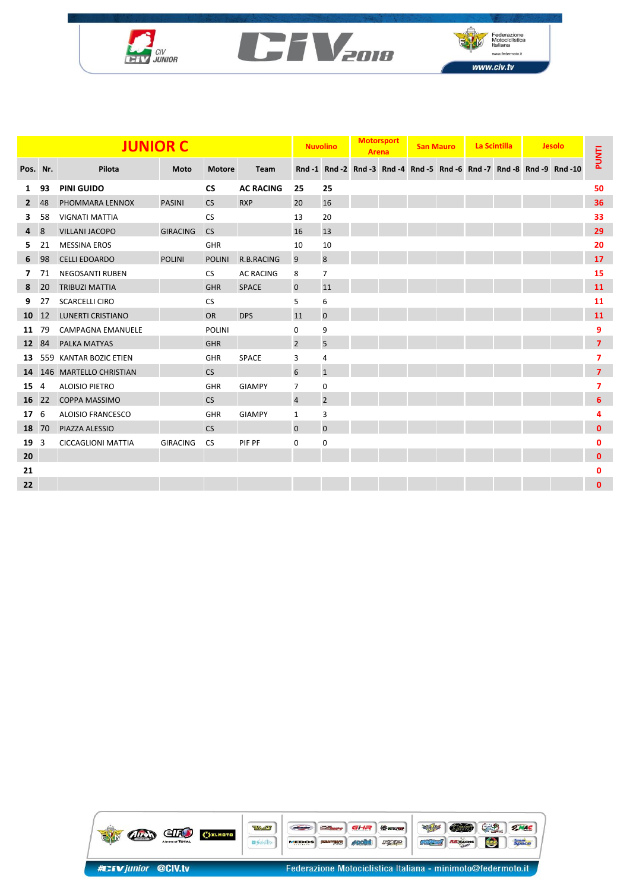





|                   | <b>JUNIOR C</b> |                           |                 |               |                  |                | <b>Nuvolino</b> | Arena | <b>Motorsport</b> | <b>San Mauro</b> | <b>La Scintilla</b> |  | <b>Jesolo</b>                                                          | <b>PUNTI</b>   |
|-------------------|-----------------|---------------------------|-----------------|---------------|------------------|----------------|-----------------|-------|-------------------|------------------|---------------------|--|------------------------------------------------------------------------|----------------|
| Pos. Nr.          |                 | Pilota                    | Moto            | <b>Motore</b> | Team             |                |                 |       |                   |                  |                     |  | Rnd -1 Rnd -2 Rnd -3 Rnd -4 Rnd -5 Rnd -6 Rnd -7 Rnd -8 Rnd -9 Rnd -10 |                |
| 1                 | 93              | <b>PINI GUIDO</b>         |                 | <b>CS</b>     | <b>AC RACING</b> | 25             | 25              |       |                   |                  |                     |  |                                                                        | 50             |
| $\overline{2}$    | 48              | PHOMMARA LENNOX           | <b>PASINI</b>   | <b>CS</b>     | <b>RXP</b>       | 20             | 16              |       |                   |                  |                     |  |                                                                        | 36             |
| 3.                | 58              | <b>VIGNATI MATTIA</b>     |                 | <b>CS</b>     |                  | 13             | 20              |       |                   |                  |                     |  |                                                                        | 33             |
| $\overline{4}$    | 8               | <b>VILLANI JACOPO</b>     | <b>GIRACING</b> | <b>CS</b>     |                  | 16             | 13              |       |                   |                  |                     |  |                                                                        | 29             |
| 5.                | 21              | <b>MESSINA EROS</b>       |                 | GHR           |                  | 10             | 10              |       |                   |                  |                     |  |                                                                        | 20             |
| 6                 | 98              | <b>CELLI EDOARDO</b>      | <b>POLINI</b>   | <b>POLINI</b> | R.B.RACING       | 9              | 8               |       |                   |                  |                     |  |                                                                        | 17             |
| $\overline{ }$    | 71              | <b>NEGOSANTI RUBEN</b>    |                 | CS.           | <b>AC RACING</b> | 8              | $\overline{7}$  |       |                   |                  |                     |  |                                                                        | 15             |
| 8                 | 20              | <b>TRIBUZI MATTIA</b>     |                 | <b>GHR</b>    | <b>SPACE</b>     | $\mathbf 0$    | 11              |       |                   |                  |                     |  |                                                                        | 11             |
| 9                 | 27              | <b>SCARCELLI CIRO</b>     |                 | <b>CS</b>     |                  | 5              | 6               |       |                   |                  |                     |  |                                                                        | 11             |
| 10                | 12              | <b>LUNERTI CRISTIANO</b>  |                 | <b>OR</b>     | <b>DPS</b>       | 11             | $\mathbf 0$     |       |                   |                  |                     |  |                                                                        | 11             |
| 11                | 79              | CAMPAGNA EMANUELE         |                 | <b>POLINI</b> |                  | 0              | 9               |       |                   |                  |                     |  |                                                                        | 9              |
| $12 \overline{ }$ | 84              | PALKA MATYAS              |                 | <b>GHR</b>    |                  | $\overline{2}$ | 5               |       |                   |                  |                     |  |                                                                        | $\overline{7}$ |
| 13                |                 | 559 KANTAR BOZIC ETIEN    |                 | <b>GHR</b>    | SPACE            | 3              | 4               |       |                   |                  |                     |  |                                                                        | 7              |
| 14                |                 | 146 MARTELLO CHRISTIAN    |                 | <b>CS</b>     |                  | 6              | $\mathbf{1}$    |       |                   |                  |                     |  |                                                                        | $\overline{7}$ |
| 15                | $\overline{4}$  | <b>ALOISIO PIETRO</b>     |                 | <b>GHR</b>    | <b>GIAMPY</b>    | 7              | 0               |       |                   |                  |                     |  |                                                                        | 7              |
| 16                | 22              | <b>COPPA MASSIMO</b>      |                 | <b>CS</b>     |                  | $\overline{4}$ | $\overline{2}$  |       |                   |                  |                     |  |                                                                        | 6              |
| 17                | 6               | <b>ALOISIO FRANCESCO</b>  |                 | GHR           | <b>GIAMPY</b>    | $\mathbf{1}$   | 3               |       |                   |                  |                     |  |                                                                        | 4              |
| 18                | 70              | PIAZZA ALESSIO            |                 | <b>CS</b>     |                  | $\mathbf{0}$   | $\mathbf 0$     |       |                   |                  |                     |  |                                                                        | 0              |
| 19                | 3               | <b>CICCAGLIONI MATTIA</b> | <b>GIRACING</b> | <b>CS</b>     | PIF PF           | 0              | 0               |       |                   |                  |                     |  |                                                                        | 0              |
| 20                |                 |                           |                 |               |                  |                |                 |       |                   |                  |                     |  |                                                                        | $\mathbf{0}$   |
| 21                |                 |                           |                 |               |                  |                |                 |       |                   |                  |                     |  |                                                                        | 0              |
| 22                |                 |                           |                 |               |                  |                |                 |       |                   |                  |                     |  |                                                                        | $\mathbf{0}$   |

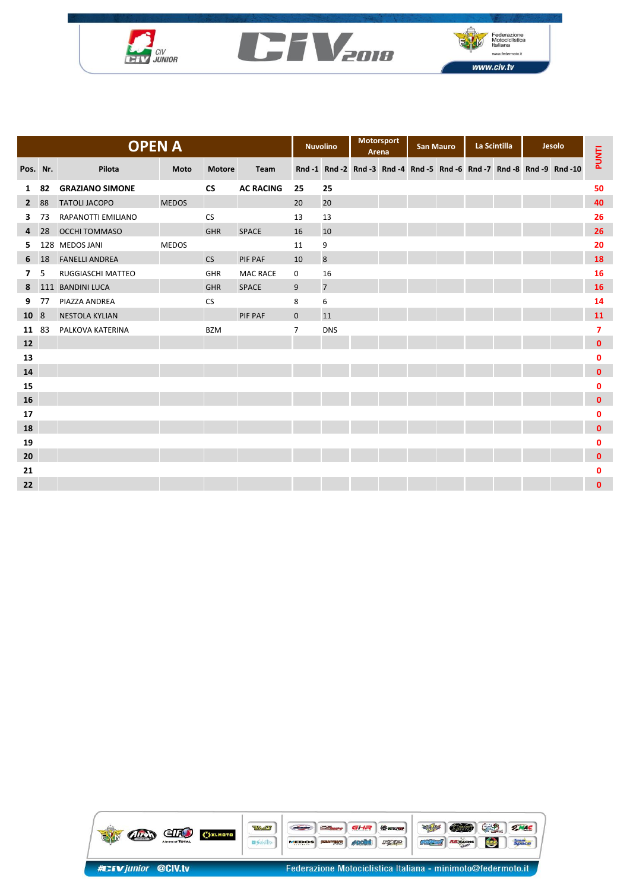





|                | <b>OPEN A</b> |                          |              |               |                  |              | <b>Nuvolino</b> | Arena | <b>Motorsport</b> | <b>San Mauro</b> | La Scintilla |  | Jesolo                                                                 | <b>PUNTI</b> |
|----------------|---------------|--------------------------|--------------|---------------|------------------|--------------|-----------------|-------|-------------------|------------------|--------------|--|------------------------------------------------------------------------|--------------|
| Pos.           | Nr.           | Pilota                   | Moto         | <b>Motore</b> | Team             |              |                 |       |                   |                  |              |  | Rnd -1 Rnd -2 Rnd -3 Rnd -4 Rnd -5 Rnd -6 Rnd -7 Rnd -8 Rnd -9 Rnd -10 |              |
| 1              | 82            | <b>GRAZIANO SIMONE</b>   |              | <b>CS</b>     | <b>AC RACING</b> | 25           | 25              |       |                   |                  |              |  |                                                                        | 50           |
| $2^{\circ}$    | 88            | <b>TATOLI JACOPO</b>     | <b>MEDOS</b> |               |                  | 20           | 20              |       |                   |                  |              |  |                                                                        | 40           |
| 3.             | 73            | RAPANOTTI EMILIANO       |              | <b>CS</b>     |                  | 13           | 13              |       |                   |                  |              |  |                                                                        | 26           |
| $\overline{4}$ | 28            | <b>OCCHI TOMMASO</b>     |              | <b>GHR</b>    | <b>SPACE</b>     | 16           | 10              |       |                   |                  |              |  |                                                                        | 26           |
| 5.             |               | 128 MEDOS JANI           | <b>MEDOS</b> |               |                  | 11           | 9               |       |                   |                  |              |  |                                                                        | 20           |
| 6              | 18            | <b>FANELLI ANDREA</b>    |              | <b>CS</b>     | PIF PAF          | 10           | $\bf 8$         |       |                   |                  |              |  |                                                                        | 18           |
| 7              | 5             | <b>RUGGIASCHI MATTEO</b> |              | GHR           | <b>MAC RACE</b>  | 0            | 16              |       |                   |                  |              |  |                                                                        | 16           |
| 8              |               | 111 BANDINI LUCA         |              | <b>GHR</b>    | <b>SPACE</b>     | 9            | $\overline{7}$  |       |                   |                  |              |  |                                                                        | 16           |
| 9              | 77            | PIAZZA ANDREA            |              | <b>CS</b>     |                  | 8            | 6               |       |                   |                  |              |  |                                                                        | 14           |
| 10             | 8             | <b>NESTOLA KYLIAN</b>    |              |               | PIF PAF          | $\mathbf{0}$ | 11              |       |                   |                  |              |  |                                                                        | 11           |
| 11             | 83            | PALKOVA KATERINA         |              | <b>BZM</b>    |                  | 7            | <b>DNS</b>      |       |                   |                  |              |  |                                                                        | 7            |
| 12             |               |                          |              |               |                  |              |                 |       |                   |                  |              |  |                                                                        | $\mathbf{0}$ |
| 13             |               |                          |              |               |                  |              |                 |       |                   |                  |              |  |                                                                        | 0            |
| 14             |               |                          |              |               |                  |              |                 |       |                   |                  |              |  |                                                                        | $\mathbf{0}$ |
| 15             |               |                          |              |               |                  |              |                 |       |                   |                  |              |  |                                                                        | 0            |
| 16             |               |                          |              |               |                  |              |                 |       |                   |                  |              |  |                                                                        | $\mathbf{0}$ |
| 17             |               |                          |              |               |                  |              |                 |       |                   |                  |              |  |                                                                        | 0            |
| 18             |               |                          |              |               |                  |              |                 |       |                   |                  |              |  |                                                                        | $\mathbf{0}$ |
| 19             |               |                          |              |               |                  |              |                 |       |                   |                  |              |  |                                                                        | 0            |
| 20             |               |                          |              |               |                  |              |                 |       |                   |                  |              |  |                                                                        | $\mathbf{0}$ |
| 21             |               |                          |              |               |                  |              |                 |       |                   |                  |              |  |                                                                        | 0            |
| 22             |               |                          |              |               |                  |              |                 |       |                   |                  |              |  |                                                                        | $\mathbf{0}$ |

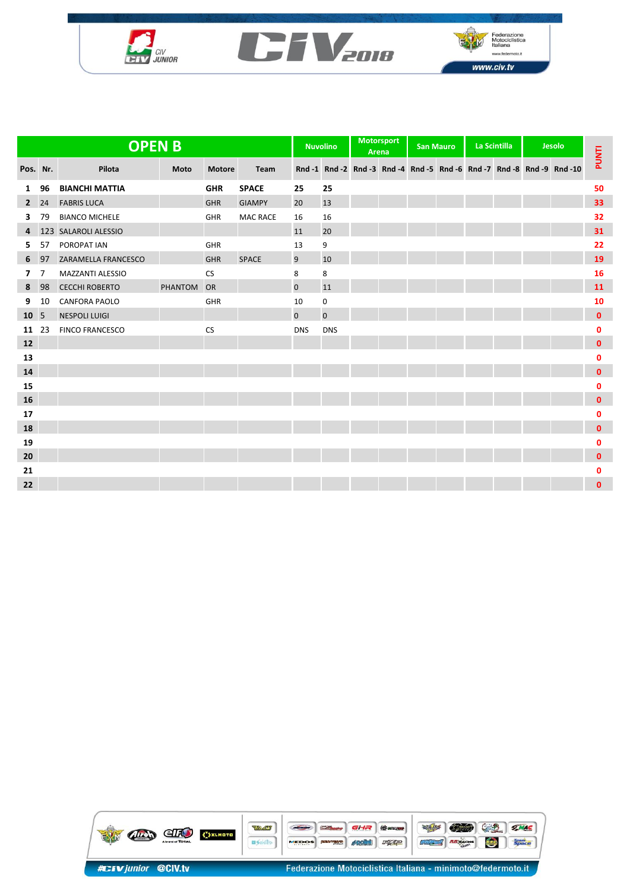





|                | <b>OPEN B</b>  |                         |                |            |               |             | <b>Nuvolino</b> | <b>Motorsport</b><br>Arena |  | <b>San Mauro</b> | La Scintilla |  | Jesolo                                                                 | <b>PUNTI</b> |
|----------------|----------------|-------------------------|----------------|------------|---------------|-------------|-----------------|----------------------------|--|------------------|--------------|--|------------------------------------------------------------------------|--------------|
| Pos. Nr.       |                | Pilota                  | Moto           | Motore     | Team          |             |                 |                            |  |                  |              |  | Rnd -1 Rnd -2 Rnd -3 Rnd -4 Rnd -5 Rnd -6 Rnd -7 Rnd -8 Rnd -9 Rnd -10 |              |
| 1              | 96             | <b>BIANCHI MATTIA</b>   |                | <b>GHR</b> | <b>SPACE</b>  | 25          | 25              |                            |  |                  |              |  |                                                                        | 50           |
| $\mathbf{2}$   | 24             | <b>FABRIS LUCA</b>      |                | <b>GHR</b> | <b>GIAMPY</b> | 20          | 13              |                            |  |                  |              |  |                                                                        | 33           |
| 3              | 79             | <b>BIANCO MICHELE</b>   |                | GHR        | MAC RACE      | 16          | 16              |                            |  |                  |              |  |                                                                        | 32           |
| 4              |                | 123 SALAROLI ALESSIO    |                |            |               | 11          | 20              |                            |  |                  |              |  |                                                                        | 31           |
| 5.             | 57             | POROPAT IAN             |                | GHR        |               | 13          | 9               |                            |  |                  |              |  |                                                                        | 22           |
| 6              | 97             | ZARAMELLA FRANCESCO     |                | <b>GHR</b> | <b>SPACE</b>  | 9           | 10              |                            |  |                  |              |  |                                                                        | 19           |
| $\overline{7}$ | $\overline{7}$ | <b>MAZZANTI ALESSIO</b> |                | <b>CS</b>  |               | 8           | 8               |                            |  |                  |              |  |                                                                        | 16           |
| 8              | 98             | <b>CECCHI ROBERTO</b>   | <b>PHANTOM</b> | OR         |               | $\mathbf 0$ | 11              |                            |  |                  |              |  |                                                                        | 11           |
| 9              | 10             | <b>CANFORA PAOLO</b>    |                | GHR        |               | 10          | 0               |                            |  |                  |              |  |                                                                        | 10           |
| 10             | 5              | <b>NESPOLI LUIGI</b>    |                |            |               | $\mathbf 0$ | $\mathbf 0$     |                            |  |                  |              |  |                                                                        | $\mathbf{0}$ |
| 11             | 23             | <b>FINCO FRANCESCO</b>  |                | <b>CS</b>  |               | <b>DNS</b>  | <b>DNS</b>      |                            |  |                  |              |  |                                                                        | 0            |
| 12             |                |                         |                |            |               |             |                 |                            |  |                  |              |  |                                                                        | $\mathbf{0}$ |
| 13             |                |                         |                |            |               |             |                 |                            |  |                  |              |  |                                                                        | 0            |
| 14             |                |                         |                |            |               |             |                 |                            |  |                  |              |  |                                                                        | $\mathbf{0}$ |
| 15             |                |                         |                |            |               |             |                 |                            |  |                  |              |  |                                                                        | 0            |
| 16             |                |                         |                |            |               |             |                 |                            |  |                  |              |  |                                                                        | $\mathbf{0}$ |
| 17             |                |                         |                |            |               |             |                 |                            |  |                  |              |  |                                                                        | 0            |
| 18             |                |                         |                |            |               |             |                 |                            |  |                  |              |  |                                                                        | $\mathbf{0}$ |
| 19             |                |                         |                |            |               |             |                 |                            |  |                  |              |  |                                                                        | 0            |
| 20             |                |                         |                |            |               |             |                 |                            |  |                  |              |  |                                                                        | $\mathbf{0}$ |
| 21             |                |                         |                |            |               |             |                 |                            |  |                  |              |  |                                                                        | 0            |
| 22             |                |                         |                |            |               |             |                 |                            |  |                  |              |  |                                                                        | $\mathbf{0}$ |

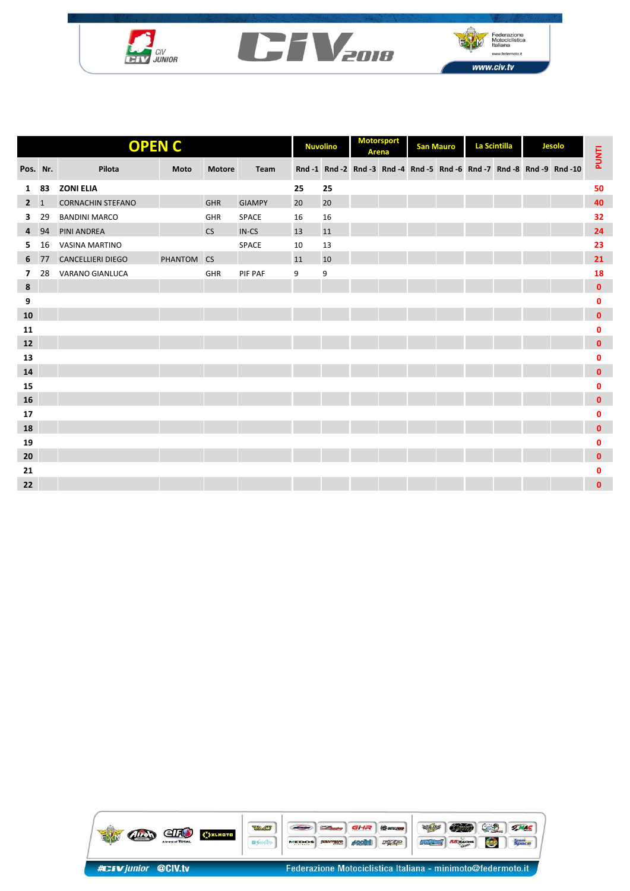





|              | <b>OPEN C</b> |                          |         |            |               |    | <b>Nuvolino</b> | <b>Motorsport</b><br>Arena |  | <b>San Mauro</b> | La Scintilla |  | Jesolo                                                                 | <b>PUNTI</b> |
|--------------|---------------|--------------------------|---------|------------|---------------|----|-----------------|----------------------------|--|------------------|--------------|--|------------------------------------------------------------------------|--------------|
| Pos. Nr.     |               | Pilota                   | Moto    | Motore     | Team          |    |                 |                            |  |                  |              |  | Rnd -1 Rnd -2 Rnd -3 Rnd -4 Rnd -5 Rnd -6 Rnd -7 Rnd -8 Rnd -9 Rnd -10 |              |
| $\mathbf{1}$ | 83            | <b>ZONI ELIA</b>         |         |            |               | 25 | 25              |                            |  |                  |              |  |                                                                        | 50           |
| $2 \quad 1$  |               | <b>CORNACHIN STEFANO</b> |         | <b>GHR</b> | <b>GIAMPY</b> | 20 | 20              |                            |  |                  |              |  |                                                                        | 40           |
| 3            | 29            | <b>BANDINI MARCO</b>     |         | GHR        | SPACE         | 16 | 16              |                            |  |                  |              |  |                                                                        | 32           |
| 4            | 94            | <b>PINI ANDREA</b>       |         | <b>CS</b>  | IN-CS         | 13 | 11              |                            |  |                  |              |  |                                                                        | 24           |
| 5            | 16            | VASINA MARTINO           |         |            | SPACE         | 10 | 13              |                            |  |                  |              |  |                                                                        | 23           |
| 6            | 77            | <b>CANCELLIERI DIEGO</b> | PHANTOM | <b>CS</b>  |               | 11 | 10              |                            |  |                  |              |  |                                                                        | 21           |
| 7            | 28            | <b>VARANO GIANLUCA</b>   |         | GHR        | PIF PAF       | 9  | 9               |                            |  |                  |              |  |                                                                        | 18           |
| 8            |               |                          |         |            |               |    |                 |                            |  |                  |              |  |                                                                        | $\mathbf{0}$ |
| 9            |               |                          |         |            |               |    |                 |                            |  |                  |              |  |                                                                        | 0            |
| 10           |               |                          |         |            |               |    |                 |                            |  |                  |              |  |                                                                        | $\mathbf{0}$ |
| 11           |               |                          |         |            |               |    |                 |                            |  |                  |              |  |                                                                        | 0            |
| ${\bf 12}$   |               |                          |         |            |               |    |                 |                            |  |                  |              |  |                                                                        | $\mathbf{0}$ |
| 13           |               |                          |         |            |               |    |                 |                            |  |                  |              |  |                                                                        | 0            |
| 14           |               |                          |         |            |               |    |                 |                            |  |                  |              |  |                                                                        | $\mathbf{0}$ |
| 15           |               |                          |         |            |               |    |                 |                            |  |                  |              |  |                                                                        | 0            |
| 16           |               |                          |         |            |               |    |                 |                            |  |                  |              |  |                                                                        | $\mathbf{0}$ |
| 17           |               |                          |         |            |               |    |                 |                            |  |                  |              |  |                                                                        | 0            |
| 18           |               |                          |         |            |               |    |                 |                            |  |                  |              |  |                                                                        | $\mathbf{0}$ |
| 19           |               |                          |         |            |               |    |                 |                            |  |                  |              |  |                                                                        | 0            |
| 20           |               |                          |         |            |               |    |                 |                            |  |                  |              |  |                                                                        | $\mathbf{0}$ |
| 21           |               |                          |         |            |               |    |                 |                            |  |                  |              |  |                                                                        | 0            |
| 22           |               |                          |         |            |               |    |                 |                            |  |                  |              |  |                                                                        | $\mathbf{0}$ |

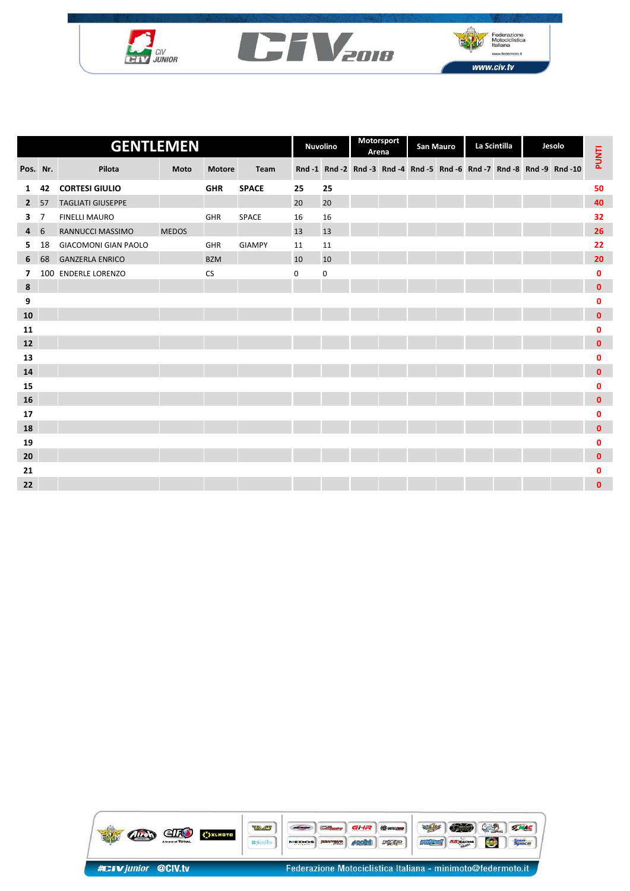





|                | <b>GENTLEMEN</b> |                             |              |            |               |             | <b>Nuvolino</b> | Arena | Motorsport | <b>San Mauro</b> | La Scintilla |  | Jesolo                                                                 | <b>PUNTI</b> |
|----------------|------------------|-----------------------------|--------------|------------|---------------|-------------|-----------------|-------|------------|------------------|--------------|--|------------------------------------------------------------------------|--------------|
| Pos. Nr.       |                  | Pilota                      | Moto         | Motore     | Team          |             |                 |       |            |                  |              |  | Rnd -1 Rnd -2 Rnd -3 Rnd -4 Rnd -5 Rnd -6 Rnd -7 Rnd -8 Rnd -9 Rnd -10 |              |
| 1              | 42               | <b>CORTESI GIULIO</b>       |              | <b>GHR</b> | <b>SPACE</b>  | 25          | 25              |       |            |                  |              |  |                                                                        | 50           |
| $\overline{2}$ | 57               | <b>TAGLIATI GIUSEPPE</b>    |              |            |               | 20          | 20              |       |            |                  |              |  |                                                                        | 40           |
| 3              | 7                | <b>FINELLI MAURO</b>        |              | <b>GHR</b> | SPACE         | 16          | 16              |       |            |                  |              |  |                                                                        | 32           |
| 4              | 6                | RANNUCCI MASSIMO            | <b>MEDOS</b> |            |               | 13          | 13              |       |            |                  |              |  |                                                                        | 26           |
| 5              | 18               | <b>GIACOMONI GIAN PAOLO</b> |              | GHR        | <b>GIAMPY</b> | 11          | 11              |       |            |                  |              |  |                                                                        | 22           |
| 6              | 68               | <b>GANZERLA ENRICO</b>      |              | <b>BZM</b> |               | 10          | 10              |       |            |                  |              |  |                                                                        | 20           |
| 7              |                  | 100 ENDERLE LORENZO         |              | <b>CS</b>  |               | $\mathbf 0$ | 0               |       |            |                  |              |  |                                                                        | $\mathbf 0$  |
| 8              |                  |                             |              |            |               |             |                 |       |            |                  |              |  |                                                                        | $\mathbf{0}$ |
| 9              |                  |                             |              |            |               |             |                 |       |            |                  |              |  |                                                                        | 0            |
| 10             |                  |                             |              |            |               |             |                 |       |            |                  |              |  |                                                                        | $\mathbf{0}$ |
| 11             |                  |                             |              |            |               |             |                 |       |            |                  |              |  |                                                                        | 0            |
| 12             |                  |                             |              |            |               |             |                 |       |            |                  |              |  |                                                                        | $\mathbf{0}$ |
| 13             |                  |                             |              |            |               |             |                 |       |            |                  |              |  |                                                                        | 0            |
| 14             |                  |                             |              |            |               |             |                 |       |            |                  |              |  |                                                                        | $\mathbf{0}$ |
| 15             |                  |                             |              |            |               |             |                 |       |            |                  |              |  |                                                                        | 0            |
| 16             |                  |                             |              |            |               |             |                 |       |            |                  |              |  |                                                                        | $\mathbf{0}$ |
| 17             |                  |                             |              |            |               |             |                 |       |            |                  |              |  |                                                                        | 0            |
| 18             |                  |                             |              |            |               |             |                 |       |            |                  |              |  |                                                                        | $\mathbf{0}$ |
| 19             |                  |                             |              |            |               |             |                 |       |            |                  |              |  |                                                                        | 0            |
| 20             |                  |                             |              |            |               |             |                 |       |            |                  |              |  |                                                                        | $\mathbf{0}$ |
| 21             |                  |                             |              |            |               |             |                 |       |            |                  |              |  |                                                                        | 0            |
| 22             |                  |                             |              |            |               |             |                 |       |            |                  |              |  |                                                                        | $\mathbf{0}$ |

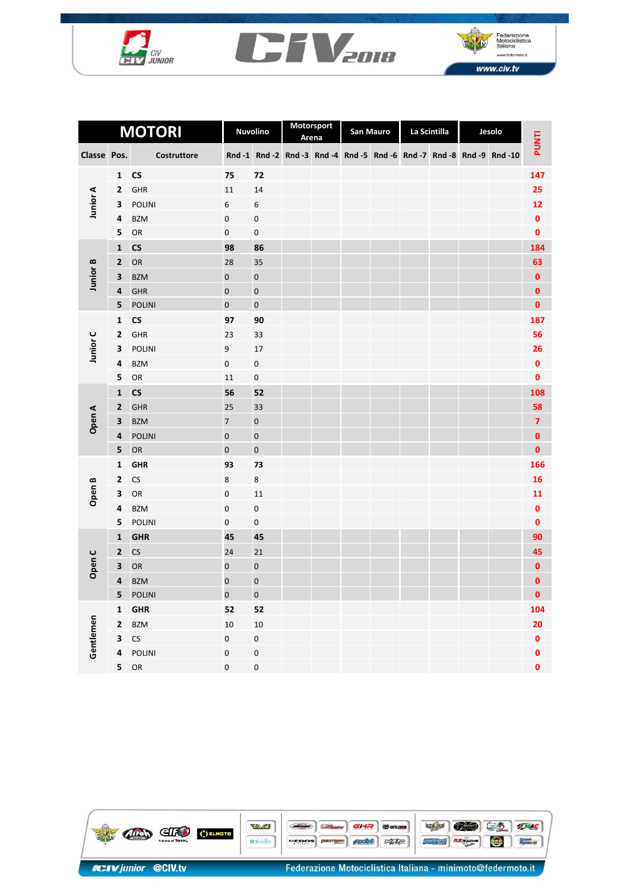





|                 |                         | <b>MOTORI</b>            |                          | Nuvolino            | Motorsport<br>Arena | San Mauro | La Scintilla |  | Jesolo                                                                 | <b>PUNTI</b>            |
|-----------------|-------------------------|--------------------------|--------------------------|---------------------|---------------------|-----------|--------------|--|------------------------------------------------------------------------|-------------------------|
| Classe Pos.     |                         | Costruttore              |                          |                     |                     |           |              |  | Rnd -1 Rnd -2 Rnd -3 Rnd -4 Rnd -5 Rnd -6 Rnd -7 Rnd -8 Rnd -9 Rnd -10 |                         |
|                 | $\mathbf{1}$            | $\mathsf{CS}\xspace$     | 75                       | 72                  |                     |           |              |  |                                                                        | 147                     |
|                 | $\overline{2}$          | <b>GHR</b>               | ${\bf 11}$               | 14                  |                     |           |              |  |                                                                        | 25                      |
| Junior A        | 3                       | <b>POLINI</b>            | 6                        | 6                   |                     |           |              |  |                                                                        | 12                      |
|                 | 4                       | <b>BZM</b>               | $\pmb{0}$                | 0                   |                     |           |              |  |                                                                        | $\pmb{0}$               |
|                 | 5                       | OR                       | 0                        | 0                   |                     |           |              |  |                                                                        | $\pmb{0}$               |
|                 | $\mathbf 1$             | $\mathsf{CS}\xspace$     | 98                       | 86                  |                     |           |              |  |                                                                        | 184                     |
|                 | $\mathbf 2$             | <b>OR</b>                | 28                       | 35                  |                     |           |              |  |                                                                        | 63                      |
| <b>Junior B</b> | 3                       | <b>BZM</b>               | $\mathsf 0$              | 0                   |                     |           |              |  |                                                                        | $\pmb{0}$               |
|                 | 4                       | <b>GHR</b>               | $\pmb{0}$                | $\pmb{0}$           |                     |           |              |  |                                                                        | $\mathbf 0$             |
|                 | 5                       | <b>POLINI</b>            | $\pmb{0}$                | $\mathsf{O}\xspace$ |                     |           |              |  |                                                                        | $\mathbf 0$             |
|                 | $\mathbf 1$             | $\mathsf{CS}\xspace$     | 97                       | 90                  |                     |           |              |  |                                                                        | 187                     |
|                 | $\mathbf{2}$            | <b>GHR</b>               | 23                       | 33                  |                     |           |              |  |                                                                        | 56                      |
| Junior C        | 3                       | POLINI                   | $\boldsymbol{9}$         | 17                  |                     |           |              |  |                                                                        | 26                      |
|                 | 4                       | <b>BZM</b>               | $\pmb{0}$                | $\mathsf{O}\xspace$ |                     |           |              |  |                                                                        | $\pmb{0}$               |
|                 | 5                       | OR                       | $11\,$                   | $\mathsf{O}\xspace$ |                     |           |              |  |                                                                        | $\pmb{0}$               |
|                 | $\mathbf{1}$            | $\mathsf{CS}\phantom{A}$ | 56                       | 52                  |                     |           |              |  |                                                                        | 108                     |
|                 | $\overline{\mathbf{2}}$ | <b>GHR</b>               | 25                       | 33                  |                     |           |              |  |                                                                        | 58                      |
| Open A          | 3                       | <b>BZM</b>               | $\overline{\phantom{a}}$ | $\mathsf{O}\xspace$ |                     |           |              |  |                                                                        | $\overline{\textbf{7}}$ |
|                 | 4                       | <b>POLINI</b>            | $\mathsf 0$              | $\pmb{\mathsf{O}}$  |                     |           |              |  |                                                                        | $\pmb{0}$               |
|                 | 5                       | OR                       | $\mathsf{O}\xspace$      | $\pmb{0}$           |                     |           |              |  |                                                                        | $\mathbf 0$             |
|                 | 1                       | <b>GHR</b>               | 93                       | 73                  |                     |           |              |  |                                                                        | 166                     |
|                 | $\mathbf{2}$            | ${\sf CS}$               | 8                        | 8                   |                     |           |              |  |                                                                        | 16                      |
| Open B          | 3                       | <b>OR</b>                | $\pmb{0}$                | 11                  |                     |           |              |  |                                                                        | 11                      |
|                 | 4                       | <b>BZM</b>               | $\mathsf{O}\xspace$      | $\mathsf{O}\xspace$ |                     |           |              |  |                                                                        | $\pmb{\mathsf{o}}$      |
|                 | 5                       | POLINI                   | $\pmb{0}$                | $\pmb{0}$           |                     |           |              |  |                                                                        | $\mathbf 0$             |
|                 | $\mathbf 1$             | <b>GHR</b>               | 45                       | 45                  |                     |           |              |  |                                                                        | 90                      |
|                 | $\mathbf{2}$            | $\mathsf{CS}\phantom{0}$ | 24                       | 21                  |                     |           |              |  |                                                                        | 45                      |
| Open C          | 3                       | <b>OR</b>                | $\pmb{0}$                | 0                   |                     |           |              |  |                                                                        | $\pmb{0}$               |
|                 | 4                       | <b>BZM</b>               | $\mathsf 0$              | $\pmb{0}$           |                     |           |              |  |                                                                        | $\mathbf 0$             |
|                 | 5                       | POLINI                   | $\pmb{0}$                | $\mathsf{O}\xspace$ |                     |           |              |  |                                                                        | $\mathbf 0$             |
|                 | $\mathbf{1}$            | <b>GHR</b>               | 52                       | 52                  |                     |           |              |  |                                                                        | 104                     |
| Gentlemen       | $\mathbf{2}$            | <b>BZM</b>               | 10                       | $10\,$              |                     |           |              |  |                                                                        | 20                      |
|                 | 3                       | $\mathsf{CS}\xspace$     | $\mathsf{O}\xspace$      | 0                   |                     |           |              |  |                                                                        | $\pmb{0}$               |
|                 | 4                       | <b>POLINI</b>            | $\mathsf 0$              | $\mathbf 0$         |                     |           |              |  |                                                                        | 0                       |
|                 | 5                       | OR                       | 0                        | 0                   |                     |           |              |  |                                                                        | $\pmb{0}$               |